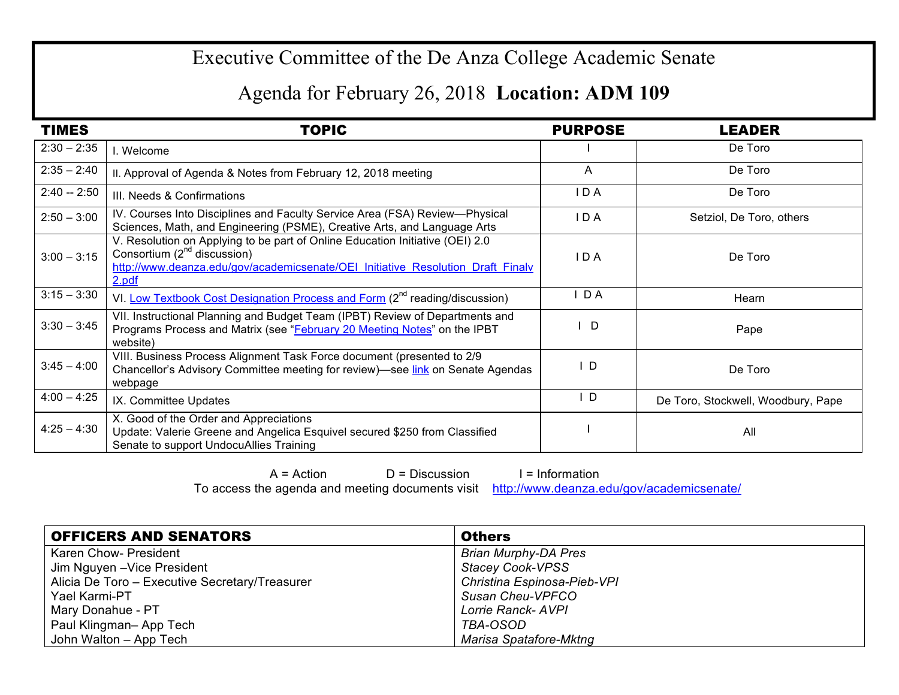## Executive Committee of the De Anza College Academic Senate

## Agenda for February 26, 2018 **Location: ADM 109**

| <b>TIMES</b>  | <b>TOPIC</b>                                                                                                                                                                                                  | <b>PURPOSE</b> | <b>LEADER</b>                      |
|---------------|---------------------------------------------------------------------------------------------------------------------------------------------------------------------------------------------------------------|----------------|------------------------------------|
| $2:30 - 2:35$ | . Welcome                                                                                                                                                                                                     |                | De Toro                            |
| $2:35 - 2:40$ | II. Approval of Agenda & Notes from February 12, 2018 meeting                                                                                                                                                 | A              | De Toro                            |
| $2:40 - 2:50$ | III. Needs & Confirmations                                                                                                                                                                                    | I D A          | De Toro                            |
| $2:50 - 3:00$ | IV. Courses Into Disciplines and Faculty Service Area (FSA) Review—Physical<br>Sciences, Math, and Engineering (PSME), Creative Arts, and Language Arts                                                       | I D A          | Setziol, De Toro, others           |
| $3:00 - 3:15$ | V. Resolution on Applying to be part of Online Education Initiative (OEI) 2.0<br>Consortium $(2^{nd}$ discussion)<br>http://www.deanza.edu/gov/academicsenate/OEI Initiative Resolution Draft Finaly<br>2.pdf | I D A          | De Toro                            |
| $3:15 - 3:30$ | VI. Low Textbook Cost Designation Process and Form (2 <sup>nd</sup> reading/discussion)                                                                                                                       | D A            | Hearn                              |
| $3:30 - 3:45$ | VII. Instructional Planning and Budget Team (IPBT) Review of Departments and<br>Programs Process and Matrix (see "February 20 Meeting Notes" on the IPBT<br>website)                                          | D              | Pape                               |
| $3:45 - 4:00$ | VIII. Business Process Alignment Task Force document (presented to 2/9<br>Chancellor's Advisory Committee meeting for review)—see link on Senate Agendas<br>webpage                                           | D              | De Toro                            |
| $4:00 - 4:25$ | IX. Committee Updates                                                                                                                                                                                         | D              | De Toro, Stockwell, Woodbury, Pape |
| $4:25 - 4:30$ | X. Good of the Order and Appreciations<br>Update: Valerie Greene and Angelica Esquivel secured \$250 from Classified<br>Senate to support UndocuAllies Training                                               |                | All                                |

 $A = Action$   $D = Discussion$  I = Information To access the agenda and meeting documents visit http://www.deanza.edu/gov/academicsenate/

| <b>OFFICERS AND SENATORS</b>                   | <b>Others</b>               |
|------------------------------------------------|-----------------------------|
| Karen Chow- President                          | <b>Brian Murphy-DA Pres</b> |
| Jim Nguyen - Vice President                    | <b>Stacey Cook-VPSS</b>     |
| Alicia De Toro - Executive Secretary/Treasurer | Christina Espinosa-Pieb-VPI |
| Yael Karmi-PT                                  | Susan Cheu-VPFCO            |
| Mary Donahue - PT                              | Lorrie Ranck- AVPI          |
| Paul Klingman-App Tech                         | TBA-OSOD                    |
| John Walton - App Tech                         | Marisa Spatafore-Mktng      |